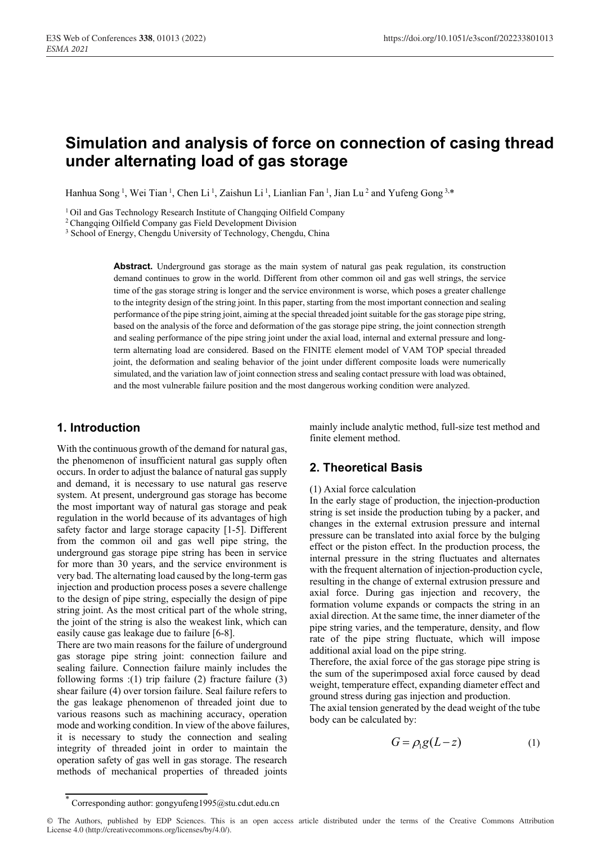# **Simulation and analysis of force on connection of casing thread under alternating load of gas storage**

Hanhua Song<sup>1</sup>, Wei Tian<sup>1</sup>, Chen Li<sup>1</sup>, Zaishun Li<sup>1</sup>, Lianlian Fan<sup>1</sup>, Jian Lu<sup>2</sup> and Yufeng Gong<sup>3,\*</sup>

<sup>1</sup> Oil and Gas Technology Research Institute of Changqing Oilfield Company  $2$  Changqing Oilfield Company gas Field Development Division  $3$  School of Energy, Chengdu University of Technology, Chengdu, China

**Abstract.** Underground gas storage as the main system of natural gas peak regulation, its construction demand continues to grow in the world. Different from other common oil and gas well strings, the service time of the gas storage string is longer and the service environment is worse, which poses a greater challenge to the integrity design of the string joint. In this paper, starting from the most important connection and sealing performance of the pipe string joint, aiming at the special threaded joint suitable for the gas storage pipe string, based on the analysis of the force and deformation of the gas storage pipe string, the joint connection strength and sealing performance of the pipe string joint under the axial load, internal and external pressure and longterm alternating load are considered. Based on the FINITE element model of VAM TOP special threaded joint, the deformation and sealing behavior of the joint under different composite loads were numerically simulated, and the variation law of joint connection stress and sealing contact pressure with load was obtained, and the most vulnerable failure position and the most dangerous working condition were analyzed.

### **1. Introduction**

With the continuous growth of the demand for natural gas, the phenomenon of insufficient natural gas supply often occurs. In order to adjust the balance of natural gas supply and demand, it is necessary to use natural gas reserve system. At present, underground gas storage has become the most important way of natural gas storage and peak regulation in the world because of its advantages of high safety factor and large storage capacity [1-5]. Different from the common oil and gas well pipe string, the underground gas storage pipe string has been in service for more than 30 years, and the service environment is very bad. The alternating load caused by the long-term gas injection and production process poses a severe challenge to the design of pipe string, especially the design of pipe string joint. As the most critical part of the whole string, the joint of the string is also the weakest link, which can easily cause gas leakage due to failure [6-8].

There are two main reasons for the failure of underground gas storage pipe string joint: connection failure and sealing failure. Connection failure mainly includes the following forms :(1) trip failure (2) fracture failure (3) shear failure (4) over torsion failure. Seal failure refers to the gas leakage phenomenon of threaded joint due to various reasons such as machining accuracy, operation mode and working condition. In view of the above failures, it is necessary to study the connection and sealing integrity of threaded joint in order to maintain the operation safety of gas well in gas storage. The research methods of mechanical properties of threaded joints

mainly include analytic method, full-size test method and finite element method.

## **2. Theoretical Basis**

#### (1) Axial force calculation

In the early stage of production, the injection-production string is set inside the production tubing by a packer, and changes in the external extrusion pressure and internal pressure can be translated into axial force by the bulging effect or the piston effect. In the production process, the internal pressure in the string fluctuates and alternates with the frequent alternation of injection-production cycle, resulting in the change of external extrusion pressure and axial force. During gas injection and recovery, the formation volume expands or compacts the string in an axial direction. At the same time, the inner diameter of the pipe string varies, and the temperature, density, and flow rate of the pipe string fluctuate, which will impose additional axial load on the pipe string.

Therefore, the axial force of the gas storage pipe string is the sum of the superimposed axial force caused by dead weight, temperature effect, expanding diameter effect and ground stress during gas injection and production.

The axial tension generated by the dead weight of the tube body can be calculated by:

$$
G = \rho_1 g(L - z) \tag{1}
$$

<sup>\*</sup> Corresponding author: gongyufeng1995@stu.cdut.edu.cn

<sup>©</sup> The Authors, published by EDP Sciences. This is an open access article distributed under the terms of the Creative Commons Attribution License 4.0 (http://creativecommons.org/licenses/by/4.0/).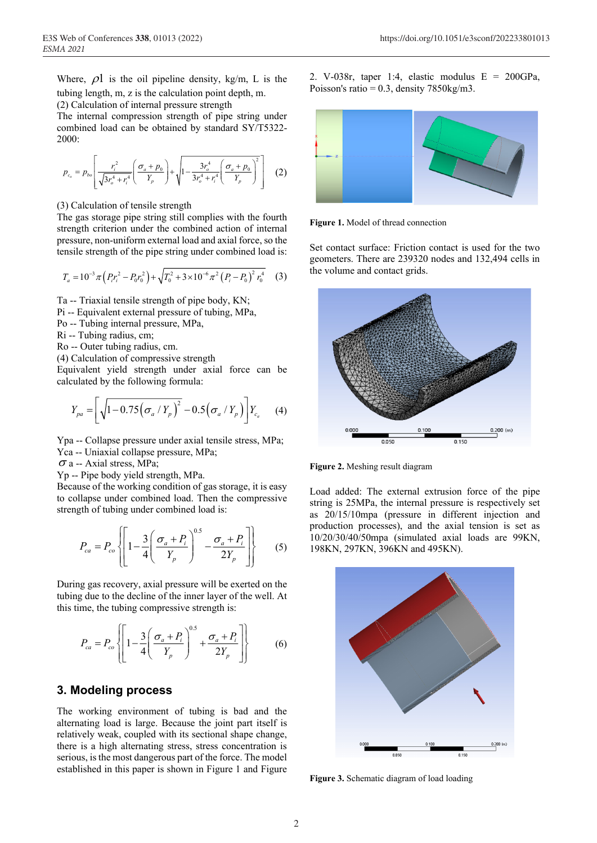Where,  $\rho$ l is the oil pipeline density, kg/m, L is the tubing length, m, z is the calculation point depth, m.

(2) Calculation of internal pressure strength

The internal compression strength of pipe string under combined load can be obtained by standard SY/T5322- 2000:

$$
p_{c_a} = p_{bo} \left[ \frac{r_i^2}{\sqrt{3r_o^4 + r_i^4}} \left( \frac{\sigma_a + p_0}{Y_p} \right) + \sqrt{1 - \frac{3r_o^4}{3r_o^4 + r_i^4} \left( \frac{\sigma_a + p_0}{Y_p} \right)^2} \right] (2)
$$

(3) Calculation of tensile strength

The gas storage pipe string still complies with the fourth strength criterion under the combined action of internal pressure, non-uniform external load and axial force, so the tensile strength of the pipe string under combined load is:

$$
T_a = 10^{-3} \pi \left( P_i r_i^2 - P_0 r_0^2 \right) + \sqrt{T_0^2 + 3 \times 10^{-6} \pi^2 \left( P_i - P_0 \right)^2 r_0^4} \tag{3}
$$

Ta -- Triaxial tensile strength of pipe body, KN;

Pi -- Equivalent external pressure of tubing, MPa,

- Po -- Tubing internal pressure, MPa,
- Ri -- Tubing radius, cm;
- Ro -- Outer tubing radius, cm.

(4) Calculation of compressive strength

Equivalent yield strength under axial force can be calculated by the following formula:

$$
Y_{pa} = \left[ \sqrt{1 - 0.75 (\sigma_a / Y_p)^2} - 0.5 (\sigma_a / Y_p) \right] Y_{c_a}
$$
 (4)

Ypa -- Collapse pressure under axial tensile stress, MPa; Yca -- Uniaxial collapse pressure, MPa;

 $\sigma$  a -- Axial stress, MPa;

Yp -- Pipe body yield strength, MPa.

Because of the working condition of gas storage, it is easy to collapse under combined load. Then the compressive strength of tubing under combined load is:

$$
P_{ca} = P_{co} \left\{ \left[ 1 - \frac{3}{4} \left( \frac{\sigma_a + P_i}{Y_p} \right)^{0.5} - \frac{\sigma_a + P_i}{2Y_p} \right] \right\} \tag{5}
$$

During gas recovery, axial pressure will be exerted on the tubing due to the decline of the inner layer of the well. At this time, the tubing compressive strength is:

$$
P_{ca} = P_{co} \left\{ \left[ 1 - \frac{3}{4} \left( \frac{\sigma_a + P_i}{Y_p} \right)^{0.5} + \frac{\sigma_a + P_i}{2Y_p} \right] \right\} \tag{6}
$$

#### **3. Modeling process**

The working environment of tubing is bad and the alternating load is large. Because the joint part itself is relatively weak, coupled with its sectional shape change, there is a high alternating stress, stress concentration is serious, is the most dangerous part of the force. The model established in this paper is shown in Figure 1 and Figure 2. V-038r, taper 1:4, elastic modulus E = 200GPa, Poisson's ratio =  $0.3$ , density 7850kg/m3.



**Figure 1.** Model of thread connection

Set contact surface: Friction contact is used for the two geometers. There are 239320 nodes and 132,494 cells in the volume and contact grids.



**Figure 2.** Meshing result diagram

Load added: The external extrusion force of the pipe string is 25MPa, the internal pressure is respectively set as 20/15/10mpa (pressure in different injection and production processes), and the axial tension is set as 10/20/30/40/50mpa (simulated axial loads are 99KN, 198KN, 297KN, 396KN and 495KN).



**Figure 3.** Schematic diagram of load loading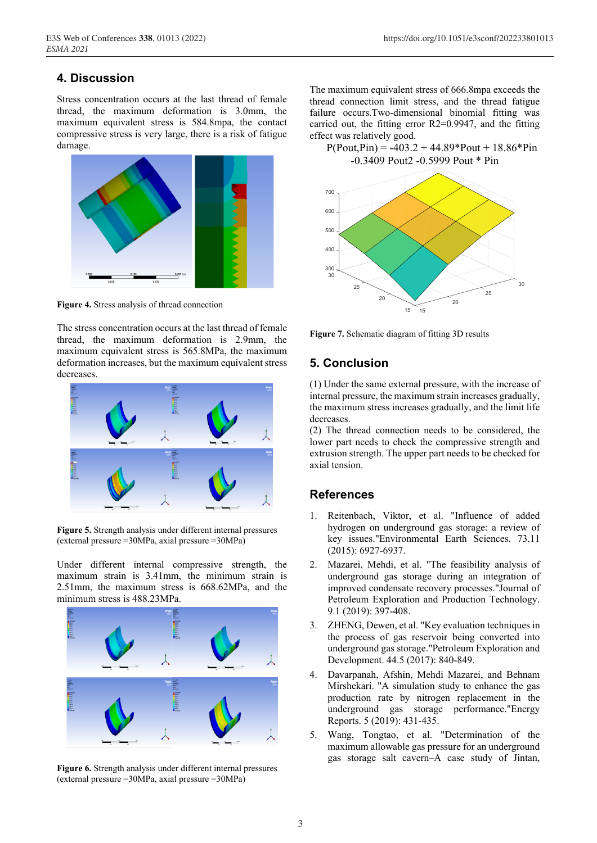## **4. Discussion**

Stress concentration occurs at the last thread of female thread, the maximum deformation is 3.0mm, the maximum equivalent stress is 584.8mpa, the contact compressive stress is very large, there is a risk of fatigue damage.



**Figure 4.** Stress analysis of thread connection

The stress concentration occurs at the last thread of female thread, the maximum deformation is 2.9mm, the maximum equivalent stress is 565.8MPa, the maximum deformation increases, but the maximum equivalent stress decreases.



**Figure 5.** Strength analysis under different internal pressures (external pressure =30MPa, axial pressure =30MPa)

Under different internal compressive strength, the maximum strain is 3.41mm, the minimum strain is 2.51mm, the maximum stress is 668.62MPa, and the minimum stress is 488.23MPa.



**Figure 6.** Strength analysis under different internal pressures (external pressure =30MPa, axial pressure =30MPa)

The maximum equivalent stress of 666.8mpa exceeds the thread connection limit stress, and the thread fatigue failure occurs.Two-dimensional binomial fitting was carried out, the fitting error R2=0.9947, and the fitting effect was relatively good.

 $P(Pout,Pin) = -403.2 + 44.89*Pout + 18.86*Pin$ -0.3409 Pout2 -0.5999 Pout \* Pin



**Figure 7.** Schematic diagram of fitting 3D results

## **5. Conclusion**

(1) Under the same external pressure, with the increase of internal pressure, the maximum strain increases gradually, the maximum stress increases gradually, and the limit life decreases.

(2) The thread connection needs to be considered, the lower part needs to check the compressive strength and extrusion strength. The upper part needs to be checked for axial tension.

## **References**

- 1. Reitenbach, Viktor, et al. "Influence of added hydrogen on underground gas storage: a review of key issues."Environmental Earth Sciences. 73.11 (2015): 6927-6937.
- 2. Mazarei, Mehdi, et al. "The feasibility analysis of underground gas storage during an integration of improved condensate recovery processes."Journal of Petroleum Exploration and Production Technology. 9.1 (2019): 397-408.
- 3. ZHENG, Dewen, et al. "Key evaluation techniques in the process of gas reservoir being converted into underground gas storage."Petroleum Exploration and Development. 44.5 (2017): 840-849.
- 4. Davarpanah, Afshin, Mehdi Mazarei, and Behnam Mirshekari. "A simulation study to enhance the gas production rate by nitrogen replacement in the underground gas storage performance."Energy Reports. 5 (2019): 431-435.
- 5. Wang, Tongtao, et al. "Determination of the maximum allowable gas pressure for an underground gas storage salt cavern–A case study of Jintan,